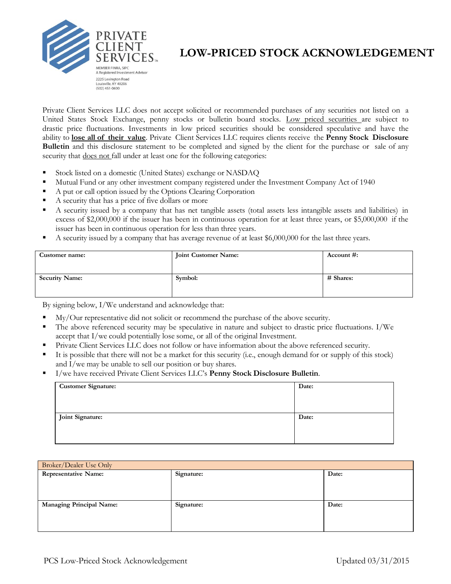

## **LOW-PRICED STOCK ACKNOWLEDGEMENT**

Private Client Services LLC does not accept solicited or recommended purchases of any securities not listed on a United States Stock Exchange, penny stocks or bulletin board stocks. Low priced securities are subject to drastic price fluctuations. Investments in low priced securities should be considered speculative and have the ability to **lose all of their value**. Private Client Services LLC requires clients receive the **Penny Stock Disclosure Bulletin** and this disclosure statement to be completed and signed by the client for the purchase or sale of any security that does not fall under at least one for the following categories:

- Stock listed on a domestic (United States) exchange or NASDAQ
- Mutual Fund or any other investment company registered under the Investment Company Act of 1940
- A put or call option issued by the Options Clearing Corporation
- A security that has a price of five dollars or more
- A security issued by a company that has net tangible assets (total assets less intangible assets and liabilities) in excess of \$2,000,000 if the issuer has been in continuous operation for at least three years, or \$5,000,000 if the issuer has been in continuous operation for less than three years.
- A security issued by a company that has average revenue of at least \$6,000,000 for the last three years.

| Customer name:        | <b>Joint Customer Name:</b> | Account $\#$ : |
|-----------------------|-----------------------------|----------------|
| <b>Security Name:</b> | Symbol:                     | # Shares:      |

By signing below, I/We understand and acknowledge that:

- My/Our representative did not solicit or recommend the purchase of the above security.
- The above referenced security may be speculative in nature and subject to drastic price fluctuations. I/We accept that I/we could potentially lose some, or all of the original Investment.
- Private Client Services LLC does not follow or have information about the above referenced security.
- It is possible that there will not be a market for this security (i.e., enough demand for or supply of this stock) and I/we may be unable to sell our position or buy shares.
- I/we have received Private Client Services LLC's **Penny Stock Disclosure Bulletin**.

| <b>Customer Signature:</b> | Date: |
|----------------------------|-------|
|                            |       |
|                            |       |
| Joint Signature:           | Date: |
|                            |       |
|                            |       |

| Broker/Dealer Use Only          |            |       |  |
|---------------------------------|------------|-------|--|
| <b>Representative Name:</b>     | Signature: | Date: |  |
|                                 |            |       |  |
| <b>Managing Principal Name:</b> | Signature: | Date: |  |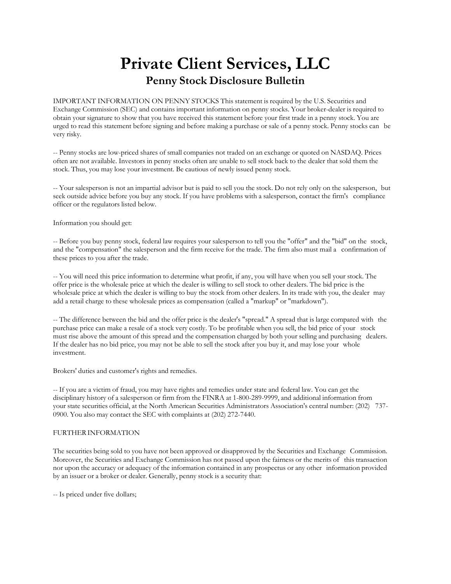# **Private Client Services, LLC Penny Stock Disclosure Bulletin**

IMPORTANT INFORMATION ON PENNY STOCKS This statement is required by the U.S. Securities and Exchange Commission (SEC) and contains important information on penny stocks. Your broker-dealer is required to obtain your signature to show that you have received this statement before your first trade in a penny stock. You are urged to read this statement before signing and before making a purchase or sale of a penny stock. Penny stocks can be very risky.

-- Penny stocks are low-priced shares of small companies not traded on an exchange or quoted on NASDAQ. Prices often are not available. Investors in penny stocks often are unable to sell stock back to the dealer that sold them the stock. Thus, you may lose your investment. Be cautious of newly issued penny stock.

-- Your salesperson is not an impartial advisor but is paid to sell you the stock. Do not rely only on the salesperson, but seek outside advice before you buy any stock. If you have problems with a salesperson, contact the firm's compliance officer or the regulators listed below.

Information you should get:

-- Before you buy penny stock, federal law requires your salesperson to tell you the "offer" and the "bid" on the stock, and the "compensation" the salesperson and the firm receive for the trade. The firm also must mail a confirmation of these prices to you after the trade.

-- You will need this price information to determine what profit, if any, you will have when you sell your stock. The offer price is the wholesale price at which the dealer is willing to sell stock to other dealers. The bid price is the wholesale price at which the dealer is willing to buy the stock from other dealers. In its trade with you, the dealer may add a retail charge to these wholesale prices as compensation (called a "markup" or "markdown").

-- The difference between the bid and the offer price is the dealer's "spread." A spread that is large compared with the purchase price can make a resale of a stock very costly. To be profitable when you sell, the bid price of your stock must rise above the amount of this spread and the compensation charged by both your selling and purchasing dealers. If the dealer has no bid price, you may not be able to sell the stock after you buy it, and may lose your whole investment.

Brokers' duties and customer's rights and remedies.

-- If you are a victim of fraud, you may have rights and remedies under state and federal law. You can get the disciplinary history of a salesperson or firm from the FINRA at 1-800-289-9999, and additional information from your state securities official, at the North American Securities Administrators Association's central number: (202) 737- 0900. You also may contact the SEC with complaints at (202) 272-7440.

### FURTHER INFORMATION

The securities being sold to you have not been approved or disapproved by the Securities and Exchange Commission. Moreover, the Securities and Exchange Commission has not passed upon the fairness or the merits of this transaction nor upon the accuracy or adequacy of the information contained in any prospectus or any other information provided by an issuer or a broker or dealer. Generally, penny stock is a security that:

-- Is priced under five dollars;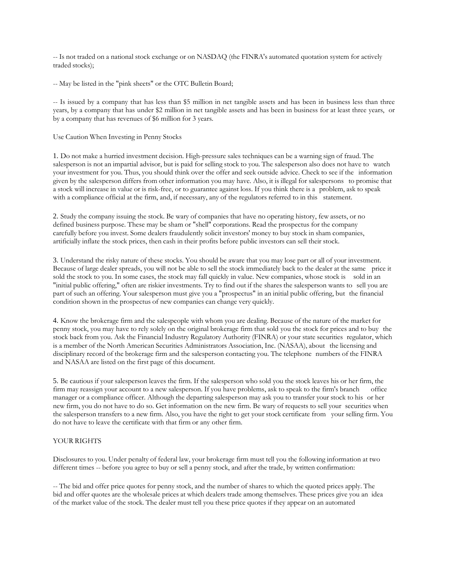-- Is not traded on a national stock exchange or on NASDAQ (the FINRA's automated quotation system for actively traded stocks);

-- May be listed in the "pink sheets" or the OTC Bulletin Board;

-- Is issued by a company that has less than \$5 million in net tangible assets and has been in business less than three years, by a company that has under \$2 million in net tangible assets and has been in business for at least three years, or by a company that has revenues of \$6 million for 3 years.

Use Caution When Investing in Penny Stocks

1. Do not make a hurried investment decision. High-pressure sales techniques can be a warning sign of fraud. The salesperson is not an impartial advisor, but is paid for selling stock to you. The salesperson also does not have to watch your investment for you. Thus, you should think over the offer and seek outside advice. Check to see if the information given by the salesperson differs from other information you may have. Also, it is illegal for salespersons to promise that a stock will increase in value or is risk-free, or to guarantee against loss. If you think there is a problem, ask to speak with a compliance official at the firm, and, if necessary, any of the regulators referred to in this statement.

2. Study the company issuing the stock. Be wary of companies that have no operating history, few assets, or no defined business purpose. These may be sham or "shell" corporations. Read the prospectus for the company carefully before you invest. Some dealers fraudulently solicit investors' money to buy stock in sham companies, artificially inflate the stock prices, then cash in their profits before public investors can sell their stock.

3. Understand the risky nature of these stocks. You should be aware that you may lose part or all of your investment. Because of large dealer spreads, you will not be able to sell the stock immediately back to the dealer at the same price it sold the stock to you. In some cases, the stock may fall quickly in value. New companies, whose stock is sold in an "initial public offering," often are riskier investments. Try to find out if the shares the salesperson wants to sell you are part of such an offering. Your salesperson must give you a "prospectus" in an initial public offering, but the financial condition shown in the prospectus of new companies can change very quickly.

4. Know the brokerage firm and the salespeople with whom you are dealing. Because of the nature of the market for penny stock, you may have to rely solely on the original brokerage firm that sold you the stock for prices and to buy the stock back from you. Ask the Financial Industry Regulatory Authority (FINRA) or your state securities regulator, which is a member of the North American Securities Administrators Association, Inc. (NASAA), about the licensing and disciplinary record of the brokerage firm and the salesperson contacting you. The telephone numbers of the FINRA and NASAA are listed on the first page of this document.

5. Be cautious if your salesperson leaves the firm. If the salesperson who sold you the stock leaves his or her firm, the firm may reassign your account to a new salesperson. If you have problems, ask to speak to the firm's branch office manager or a compliance officer. Although the departing salesperson may ask you to transfer your stock to his or her new firm, you do not have to do so. Get information on the new firm. Be wary of requests to sell your securities when the salesperson transfers to a new firm. Also, you have the right to get your stock certificate from your selling firm. You do not have to leave the certificate with that firm or any other firm.

### YOUR RIGHTS

Disclosures to you. Under penalty of federal law, your brokerage firm must tell you the following information at two different times -- before you agree to buy or sell a penny stock, and after the trade, by written confirmation:

-- The bid and offer price quotes for penny stock, and the number of shares to which the quoted prices apply. The bid and offer quotes are the wholesale prices at which dealers trade among themselves. These prices give you an idea of the market value of the stock. The dealer must tell you these price quotes if they appear on an automated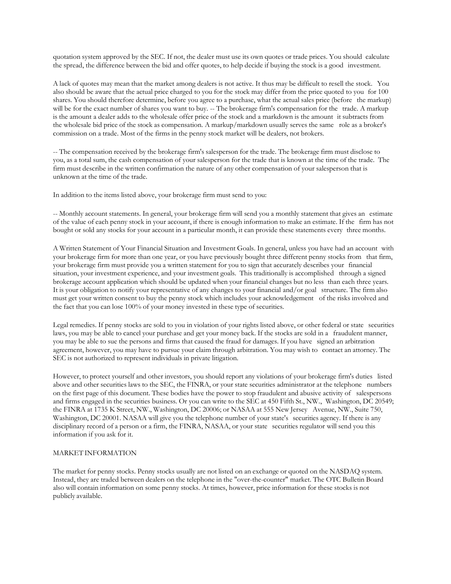quotation system approved by the SEC. If not, the dealer must use its own quotes or trade prices. You should calculate the spread, the difference between the bid and offer quotes, to help decide if buying the stock is a good investment.

A lack of quotes may mean that the market among dealers is not active. It thus may be difficult to resell the stock. You also should be aware that the actual price charged to you for the stock may differ from the price quoted to you for 100 shares. You should therefore determine, before you agree to a purchase, what the actual sales price (before the markup) will be for the exact number of shares you want to buy. -- The brokerage firm's compensation for the trade. A markup is the amount a dealer adds to the wholesale offer price of the stock and a markdown is the amount it subtracts from the wholesale bid price of the stock as compensation. A markup/markdown usually serves the same role as a broker's commission on a trade. Most of the firms in the penny stock market will be dealers, not brokers.

-- The compensation received by the brokerage firm's salesperson for the trade. The brokerage firm must disclose to you, as a total sum, the cash compensation of your salesperson for the trade that is known at the time of the trade. The firm must describe in the written confirmation the nature of any other compensation of your salesperson that is unknown at the time of the trade.

In addition to the items listed above, your brokerage firm must send to you:

-- Monthly account statements. In general, your brokerage firm will send you a monthly statement that gives an estimate of the value of each penny stock in your account, if there is enough information to make an estimate. If the firm has not bought or sold any stocks for your account in a particular month, it can provide these statements every three months.

A Written Statement of Your Financial Situation and Investment Goals. In general, unless you have had an account with your brokerage firm for more than one year, or you have previously bought three different penny stocks from that firm, your brokerage firm must provide you a written statement for you to sign that accurately describes your financial situation, your investment experience, and your investment goals. This traditionally is accomplished through a signed brokerage account application which should be updated when your financial changes but no less than each three years. It is your obligation to notify your representative of any changes to your financial and/or goal structure. The firm also must get your written consent to buy the penny stock which includes your acknowledgement of the risks involved and the fact that you can lose 100% of your money invested in these type of securities.

Legal remedies. If penny stocks are sold to you in violation of your rights listed above, or other federal or state securities laws, you may be able to cancel your purchase and get your money back. If the stocks are sold in a fraudulent manner, you may be able to sue the persons and firms that caused the fraud for damages. If you have signed an arbitration agreement, however, you may have to pursue your claim through arbitration. You may wish to contact an attorney. The SEC is not authorized to represent individuals in private litigation.

However, to protect yourself and other investors, you should report any violations of your brokerage firm's duties listed above and other securities laws to the SEC, the FINRA, or your state securities administrator at the telephone numbers on the first page of this document. These bodies have the power to stop fraudulent and abusive activity of salespersons and firms engaged in the securities business. Or you can write to the SEC at 450 Fifth St., NW., Washington, DC 20549; the FINRA at 1735 K Street, NW., Washington, DC 20006; or NASAA at 555 New Jersey Avenue, NW., Suite 750, Washington, DC 20001. NASAA will give you the telephone number of your state's securities agency. If there is any disciplinary record of a person or a firm, the FINRA, NASAA, or your state securities regulator will send you this information if you ask for it.

### MARKET INFORMATION

The market for penny stocks. Penny stocks usually are not listed on an exchange or quoted on the NASDAQ system. Instead, they are traded between dealers on the telephone in the "over-the-counter" market. The OTC Bulletin Board also will contain information on some penny stocks. At times, however, price information for these stocks is not publicly available.